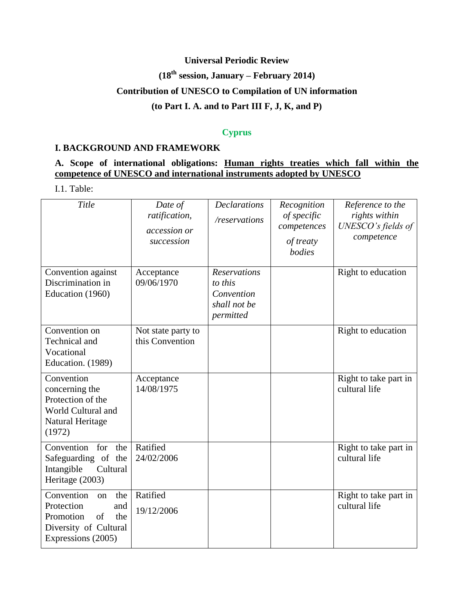## **Universal Periodic Review**

# **(18th session, January – February 2014)**

## **Contribution of UNESCO to Compilation of UN information**

## **(to Part I. A. and to Part III F, J, K, and P)**

## **Cyprus**

#### **I. BACKGROUND AND FRAMEWORK**

## **A. Scope of international obligations: Human rights treaties which fall within the competence of UNESCO and international instruments adopted by UNESCO**

I.1. Table:

| Title                                                                                                                 | Date of<br>ratification,<br>accession or<br>succession | <b>Declarations</b><br>/reservations                                      | Recognition<br>of specific<br>competences<br>of treaty<br>bodies | Reference to the<br>rights within<br>UNESCO's fields of<br>competence |
|-----------------------------------------------------------------------------------------------------------------------|--------------------------------------------------------|---------------------------------------------------------------------------|------------------------------------------------------------------|-----------------------------------------------------------------------|
| Convention against<br>Discrimination in<br>Education (1960)                                                           | Acceptance<br>09/06/1970                               | <b>Reservations</b><br>to this<br>Convention<br>shall not be<br>permitted |                                                                  | Right to education                                                    |
| Convention on<br>Technical and<br>Vocational<br>Education. (1989)                                                     | Not state party to<br>this Convention                  |                                                                           |                                                                  | Right to education                                                    |
| Convention<br>concerning the<br>Protection of the<br>World Cultural and<br>Natural Heritage<br>(1972)                 | Acceptance<br>14/08/1975                               |                                                                           |                                                                  | Right to take part in<br>cultural life                                |
| Convention for<br>the<br>Safeguarding of the<br>Intangible<br>Cultural<br>Heritage (2003)                             | Ratified<br>24/02/2006                                 |                                                                           |                                                                  | Right to take part in<br>cultural life                                |
| Convention<br>the<br>on<br>Protection<br>and<br>Promotion<br>of<br>the<br>Diversity of Cultural<br>Expressions (2005) | Ratified<br>19/12/2006                                 |                                                                           |                                                                  | Right to take part in<br>cultural life                                |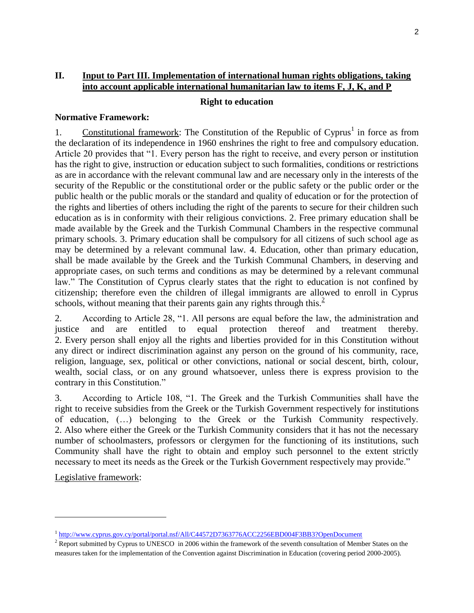## **II. Input to Part III. Implementation of international human rights obligations, taking into account applicable international humanitarian law to items F, J, K, and P**

#### **Right to education**

#### **Normative Framework:**

1. Constitutional framework: The Constitution of the Republic of Cyprus<sup>1</sup> in force as from the declaration of its independence in 1960 enshrines the right to free and compulsory education. Article 20 provides that "1. Every person has the right to receive, and every person or institution has the right to give, instruction or education subject to such formalities, conditions or restrictions as are in accordance with the relevant communal law and are necessary only in the interests of the security of the Republic or the constitutional order or the public safety or the public order or the public health or the public morals or the standard and quality of education or for the protection of the rights and liberties of others including the right of the parents to secure for their children such education as is in conformity with their religious convictions. 2. Free primary education shall be made available by the Greek and the Turkish Communal Chambers in the respective communal primary schools. 3. Primary education shall be compulsory for all citizens of such school age as may be determined by a relevant communal law. 4. Education, other than primary education, shall be made available by the Greek and the Turkish Communal Chambers, in deserving and appropriate cases, on such terms and conditions as may be determined by a relevant communal law." The Constitution of Cyprus clearly states that the right to education is not confined by citizenship; therefore even the children of illegal immigrants are allowed to enroll in Cyprus schools, without meaning that their parents gain any rights through this.<sup>2</sup>

2. According to Article 28, "1. All persons are equal before the law, the administration and justice and are entitled to equal protection thereof and treatment thereby. 2. Every person shall enjoy all the rights and liberties provided for in this Constitution without any direct or indirect discrimination against any person on the ground of his community, race, religion, language, sex, political or other convictions, national or social descent, birth, colour, wealth, social class, or on any ground whatsoever, unless there is express provision to the contrary in this Constitution."

3. According to Article 108, "1. The Greek and the Turkish Communities shall have the right to receive subsidies from the Greek or the Turkish Government respectively for institutions of education, (…) belonging to the Greek or the Turkish Community respectively. 2. Also where either the Greek or the Turkish Community considers that it has not the necessary number of schoolmasters, professors or clergymen for the functioning of its institutions, such Community shall have the right to obtain and employ such personnel to the extent strictly necessary to meet its needs as the Greek or the Turkish Government respectively may provide."

Legislative framework:

l

<sup>&</sup>lt;sup>1</sup> <http://www.cyprus.gov.cy/portal/portal.nsf/All/C44572D7363776ACC2256EBD004F3BB3?OpenDocument>

 $<sup>2</sup>$  Report submitted by Cyprus to UNESCO in 2006 within the framework of the seventh consultation of Member States on the</sup> measures taken for the implementation of the Convention against Discrimination in Education (covering period 2000-2005).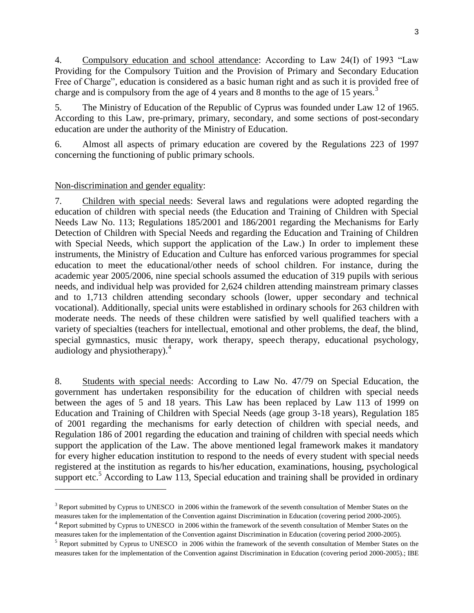4. Compulsory education and school attendance: According to Law 24(I) of 1993 "Law Providing for the Compulsory Tuition and the Provision of Primary and Secondary Education Free of Charge", education is considered as a basic human right and as such it is provided free of charge and is compulsory from the age of 4 years and 8 months to the age of 15 years.<sup>3</sup>

5. The Ministry of Education of the Republic of Cyprus was founded under Law 12 of 1965. According to this Law, pre-primary, primary, secondary, and some sections of post-secondary education are under the authority of the Ministry of Education.

6. Almost all aspects of primary education are covered by the Regulations 223 of 1997 concerning the functioning of public primary schools.

### Non-discrimination and gender equality:

 $\overline{\phantom{a}}$ 

7. Children with special needs: Several laws and regulations were adopted regarding the education of children with special needs (the Education and Training of Children with Special Needs Law No. 113; Regulations 185/2001 and 186/2001 regarding the Mechanisms for Early Detection of Children with Special Needs and regarding the Education and Training of Children with Special Needs, which support the application of the Law.) In order to implement these instruments, the Ministry of Education and Culture has enforced various programmes for special education to meet the educational/other needs of school children. For instance, during the academic year 2005/2006, nine special schools assumed the education of 319 pupils with serious needs, and individual help was provided for 2,624 children attending mainstream primary classes and to 1,713 children attending secondary schools (lower, upper secondary and technical vocational). Additionally, special units were established in ordinary schools for 263 children with moderate needs. The needs of these children were satisfied by well qualified teachers with a variety of specialties (teachers for intellectual, emotional and other problems, the deaf, the blind, special gymnastics, music therapy, work therapy, speech therapy, educational psychology, audiology and physiotherapy). $4$ 

8. Students with special needs: According to Law No. 47/79 on Special Education, the government has undertaken responsibility for the education of children with special needs between the ages of 5 and 18 years. This Law has been replaced by Law 113 of 1999 on Education and Training of Children with Special Needs (age group 3-18 years), Regulation 185 of 2001 regarding the mechanisms for early detection of children with special needs, and Regulation 186 of 2001 regarding the education and training of children with special needs which support the application of the Law. The above mentioned legal framework makes it mandatory for every higher education institution to respond to the needs of every student with special needs registered at the institution as regards to his/her education, examinations, housing, psychological support etc.<sup>5</sup> According to Law 113, Special education and training shall be provided in ordinary

 $3$  Report submitted by Cyprus to UNESCO in 2006 within the framework of the seventh consultation of Member States on the measures taken for the implementation of the Convention against Discrimination in Education (covering period 2000-2005).

<sup>&</sup>lt;sup>4</sup> Report submitted by Cyprus to UNESCO in 2006 within the framework of the seventh consultation of Member States on the measures taken for the implementation of the Convention against Discrimination in Education (covering period 2000-2005).

 $<sup>5</sup>$  Report submitted by Cyprus to UNESCO in 2006 within the framework of the seventh consultation of Member States on the</sup> measures taken for the implementation of the Convention against Discrimination in Education (covering period 2000-2005).; IBE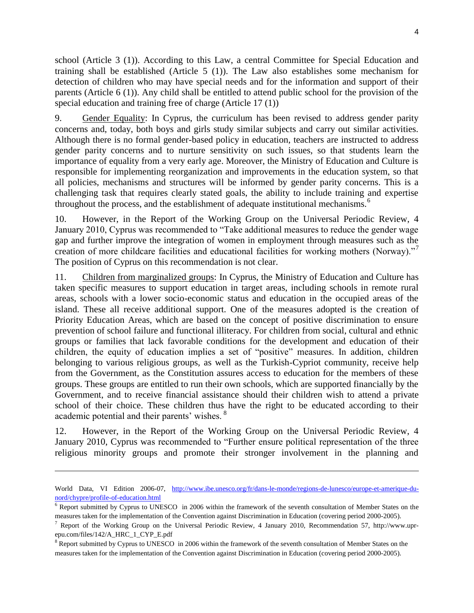school (Article 3 (1)). According to this Law, a central Committee for Special Education and training shall be established (Article 5 (1)). The Law also establishes some mechanism for detection of children who may have special needs and for the information and support of their parents (Article 6 (1)). Any child shall be entitled to attend public school for the provision of the special education and training free of charge (Article 17 (1))

9. Gender Equality: In Cyprus, the curriculum has been revised to address gender parity concerns and, today, both boys and girls study similar subjects and carry out similar activities. Although there is no formal gender-based policy in education, teachers are instructed to address gender parity concerns and to nurture sensitivity on such issues, so that students learn the importance of equality from a very early age. Moreover, the Ministry of Education and Culture is responsible for implementing reorganization and improvements in the education system, so that all policies, mechanisms and structures will be informed by gender parity concerns. This is a challenging task that requires clearly stated goals, the ability to include training and expertise throughout the process, and the establishment of adequate institutional mechanisms.<sup>6</sup>

10. However, in the Report of the Working Group on the Universal Periodic Review, 4 January 2010, Cyprus was recommended to "Take additional measures to reduce the gender wage gap and further improve the integration of women in employment through measures such as the creation of more childcare facilities and educational facilities for working mothers (Norway)."<sup>7</sup> The position of Cyprus on this recommendation is not clear.

11. Children from marginalized groups: In Cyprus, the Ministry of Education and Culture has taken specific measures to support education in target areas, including schools in remote rural areas, schools with a lower socio-economic status and education in the occupied areas of the island. These all receive additional support. One of the measures adopted is the creation of Priority Education Areas, which are based on the concept of positive discrimination to ensure prevention of school failure and functional illiteracy. For children from social, cultural and ethnic groups or families that lack favorable conditions for the development and education of their children, the equity of education implies a set of "positive" measures. In addition, children belonging to various religious groups, as well as the Turkish-Cypriot community, receive help from the Government, as the Constitution assures access to education for the members of these groups. These groups are entitled to run their own schools, which are supported financially by the Government, and to receive financial assistance should their children wish to attend a private school of their choice. These children thus have the right to be educated according to their academic potential and their parents' wishes. <sup>8</sup>

12. However, in the Report of the Working Group on the Universal Periodic Review, 4 January 2010, Cyprus was recommended to "Further ensure political representation of the three religious minority groups and promote their stronger involvement in the planning and

 $\overline{\phantom{a}}$ 

World Data, VI Edition 2006-07, [http://www.ibe.unesco.org/fr/dans-le-monde/regions-de-lunesco/europe-et-amerique-du](http://www.ibe.unesco.org/fr/dans-le-monde/regions-de-lunesco/europe-et-amerique-du-nord/chypre/profile-of-education.html)[nord/chypre/profile-of-education.html](http://www.ibe.unesco.org/fr/dans-le-monde/regions-de-lunesco/europe-et-amerique-du-nord/chypre/profile-of-education.html)

 $6$  Report submitted by Cyprus to UNESCO in 2006 within the framework of the seventh consultation of Member States on the measures taken for the implementation of the Convention against Discrimination in Education (covering period 2000-2005).

<sup>&</sup>lt;sup>7</sup> Report of the Working Group on the Universal Periodic Review, 4 January 2010, Recommendation 57, http://www.uprepu.com/files/142/A\_HRC\_1\_CYP\_E.pdf

<sup>&</sup>lt;sup>8</sup> Report submitted by Cyprus to UNESCO in 2006 within the framework of the seventh consultation of Member States on the measures taken for the implementation of the Convention against Discrimination in Education (covering period 2000-2005).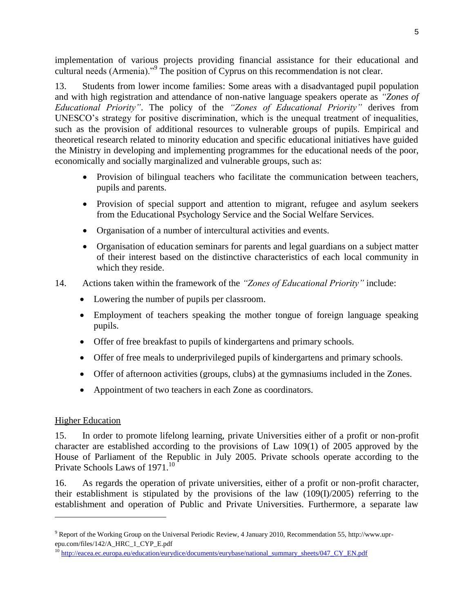implementation of various projects providing financial assistance for their educational and cultural needs (Armenia)."<sup>9</sup> The position of Cyprus on this recommendation is not clear.

13. Students from lower income families: Some areas with a disadvantaged pupil population and with high registration and attendance of non-native language speakers operate as *"Zones of Educational Priority"*. The policy of the *"Zones of Educational Priority"* derives from UNESCO's strategy for positive discrimination, which is the unequal treatment of inequalities, such as the provision of additional resources to vulnerable groups of pupils. Empirical and theoretical research related to minority education and specific educational initiatives have guided the Ministry in developing and implementing programmes for the educational needs of the poor, economically and socially marginalized and vulnerable groups, such as:

- Provision of bilingual teachers who facilitate the communication between teachers, pupils and parents.
- Provision of special support and attention to migrant, refugee and asylum seekers from the Educational Psychology Service and the Social Welfare Services.
- Organisation of a number of intercultural activities and events.
- Organisation of education seminars for parents and legal guardians on a subject matter of their interest based on the distinctive characteristics of each local community in which they reside.
- 14. Actions taken within the framework of the *"Zones of Educational Priority"* include:
	- Lowering the number of pupils per classroom.
	- Employment of teachers speaking the mother tongue of foreign language speaking pupils.
	- Offer of free breakfast to pupils of kindergartens and primary schools.
	- Offer of free meals to underprivileged pupils of kindergartens and primary schools.
	- Offer of afternoon activities (groups, clubs) at the gymnasiums included in the Zones.
	- Appointment of two teachers in each Zone as coordinators.

## Higher Education

l

15. In order to promote lifelong learning, private Universities either of a profit or non-profit character are established according to the provisions of Law 109(1) of 2005 approved by the House of Parliament of the Republic in July 2005. Private schools operate according to the Private Schools Laws of 1971.<sup>10</sup>

16. As regards the operation of private universities, either of a profit or non-profit character, their establishment is stipulated by the provisions of the law (109(I)/2005) referring to the establishment and operation of Public and Private Universities. Furthermore, a separate law

<sup>&</sup>lt;sup>9</sup> Report of the Working Group on the Universal Periodic Review, 4 January 2010, Recommendation 55, http://www.uprepu.com/files/142/A\_HRC\_1\_CYP\_E.pdf

<sup>10</sup> [http://eacea.ec.europa.eu/education/eurydice/documents/eurybase/national\\_summary\\_sheets/047\\_CY\\_EN.pdf](http://eacea.ec.europa.eu/education/eurydice/documents/eurybase/national_summary_sheets/047_CY_EN.pdf)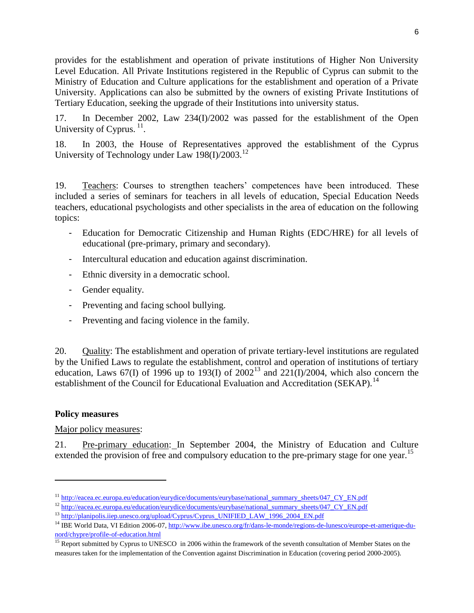provides for the establishment and operation of private institutions of Higher Non University Level Education. All Private Institutions registered in the Republic of Cyprus can submit to the Ministry of Education and Culture applications for the establishment and operation of a Private University. Applications can also be submitted by the owners of existing Private Institutions of Tertiary Education, seeking the upgrade of their Institutions into university status.

17. In December 2002, Law 234(I)/2002 was passed for the establishment of the Open University of Cyprus.<sup>11</sup>.

18. In 2003, the House of Representatives approved the establishment of the Cyprus University of Technology under Law 198(I)/2003.<sup>12</sup>

19. Teachers: Courses to strengthen teachers' competences have been introduced. These included a series of seminars for teachers in all levels of education, Special Education Needs teachers, educational psychologists and other specialists in the area of education on the following topics:

- Education for Democratic Citizenship and Human Rights (EDC/HRE) for all levels of educational (pre-primary, primary and secondary).
- Intercultural education and education against discrimination.
- Ethnic diversity in a democratic school.
- Gender equality.
- Preventing and facing school bullying.
- Preventing and facing violence in the family.

20. Quality: The establishment and operation of private tertiary-level institutions are regulated by the Unified Laws to regulate the establishment, control and operation of institutions of tertiary education, Laws 67(I) of 1996 up to 193(I) of  $2002^{13}$  and  $221(I)/2004$ , which also concern the establishment of the Council for Educational Evaluation and Accreditation (SEKAP).<sup>14</sup>

## **Policy measures**

l

Major policy measures:

21. Pre-primary education: In September 2004, the Ministry of Education and Culture extended the provision of free and compulsory education to the pre-primary stage for one year.<sup>15</sup>

<sup>&</sup>lt;sup>11</sup> [http://eacea.ec.europa.eu/education/eurydice/documents/eurybase/national\\_summary\\_sheets/047\\_CY\\_EN.pdf](http://eacea.ec.europa.eu/education/eurydice/documents/eurybase/national_summary_sheets/047_CY_EN.pdf)

<sup>&</sup>lt;sup>12</sup> [http://eacea.ec.europa.eu/education/eurydice/documents/eurybase/national\\_summary\\_sheets/047\\_CY\\_EN.pdf](http://eacea.ec.europa.eu/education/eurydice/documents/eurybase/national_summary_sheets/047_CY_EN.pdf)

<sup>&</sup>lt;sup>13</sup> [http://planipolis.iiep.unesco.org/upload/Cyprus/Cyprus\\_UNIFIED\\_LAW\\_1996\\_2004\\_EN.pdf](http://planipolis.iiep.unesco.org/upload/Cyprus/Cyprus_UNIFIED_LAW_1996_2004_EN.pdf)

<sup>&</sup>lt;sup>14</sup> IBE World Data, VI Edition 2006-07[, http://www.ibe.unesco.org/fr/dans-le-monde/regions-de-lunesco/europe-et-amerique-du](http://www.ibe.unesco.org/fr/dans-le-monde/regions-de-lunesco/europe-et-amerique-du-nord/chypre/profile-of-education.html)[nord/chypre/profile-of-education.html](http://www.ibe.unesco.org/fr/dans-le-monde/regions-de-lunesco/europe-et-amerique-du-nord/chypre/profile-of-education.html)

<sup>&</sup>lt;sup>15</sup> Report submitted by Cyprus to UNESCO in 2006 within the framework of the seventh consultation of Member States on the measures taken for the implementation of the Convention against Discrimination in Education (covering period 2000-2005).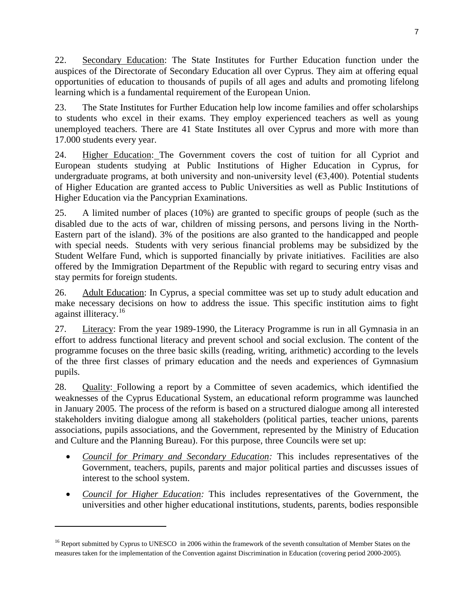22. Secondary Education: The State Institutes for Further Education function under the auspices of the Directorate of Secondary Education all over Cyprus. They aim at offering equal opportunities of education to thousands of pupils of all ages and adults and promoting lifelong learning which is a fundamental requirement of the European Union.

23. The State Institutes for Further Education help low income families and offer scholarships to students who excel in their exams. They employ experienced teachers as well as young unemployed teachers. There are 41 State Institutes all over Cyprus and more with more than 17.000 students every year.

24. Higher Education: The Government covers the cost of tuition for all Cypriot and European students studying at Public Institutions of Higher Education in Cyprus, for undergraduate programs, at both university and non-university level  $(\epsilon 3,400)$ . Potential students of Higher Education are granted access to Public Universities as well as Public Institutions of Higher Education via the Pancyprian Examinations.

25. A limited number of places (10%) are granted to specific groups of people (such as the disabled due to the acts of war, children of missing persons, and persons living in the North-Eastern part of the island). 3% of the positions are also granted to the handicapped and people with special needs. Students with very serious financial problems may be subsidized by the Student Welfare Fund, which is supported financially by private initiatives. Facilities are also offered by the Immigration Department of the Republic with regard to securing entry visas and stay permits for foreign students.

26. Adult Education: In Cyprus, a special committee was set up to study adult education and make necessary decisions on how to address the issue. This specific institution aims to fight against illiteracy.<sup>16</sup>

27. Literacy: From the year 1989-1990, the Literacy Programme is run in all Gymnasia in an effort to address functional literacy and prevent school and social exclusion. The content of the programme focuses on the three basic skills (reading, writing, arithmetic) according to the levels of the three first classes of primary education and the needs and experiences of Gymnasium pupils.

28. Quality: Following a report by a Committee of seven academics, which identified the weaknesses of the Cyprus Educational System, an educational reform programme was launched in January 2005. The process of the reform is based on a structured dialogue among all interested stakeholders inviting dialogue among all stakeholders (political parties, teacher unions, parents associations, pupils associations, and the Government, represented by the Ministry of Education and Culture and the Planning Bureau). For this purpose, three Councils were set up:

- *Council for Primary and Secondary Education:* This includes representatives of the Government, teachers, pupils, parents and major political parties and discusses issues of interest to the school system.
- *Council for Higher Education:* This includes representatives of the Government, the universities and other higher educational institutions, students, parents, bodies responsible

 $\overline{\phantom{a}}$ 

<sup>&</sup>lt;sup>16</sup> Report submitted by Cyprus to UNESCO in 2006 within the framework of the seventh consultation of Member States on the measures taken for the implementation of the Convention against Discrimination in Education (covering period 2000-2005).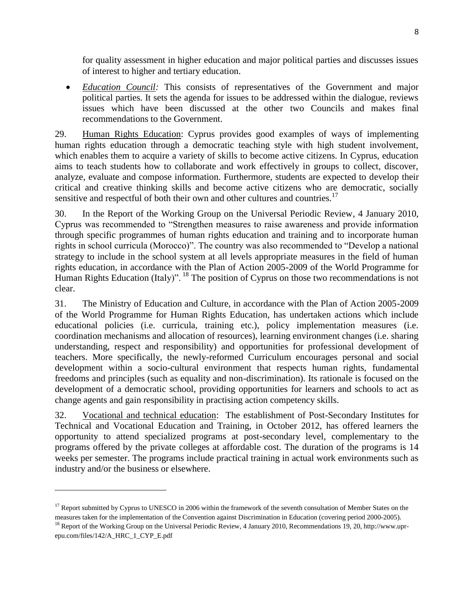for quality assessment in higher education and major political parties and discusses issues of interest to higher and tertiary education.

 *Education Council:* This consists of representatives of the Government and major political parties. It sets the agenda for issues to be addressed within the dialogue, reviews issues which have been discussed at the other two Councils and makes final recommendations to the Government.

29. Human Rights Education: Cyprus provides good examples of ways of implementing human rights education through a democratic teaching style with high student involvement, which enables them to acquire a variety of skills to become active citizens. In Cyprus, education aims to teach students how to collaborate and work effectively in groups to collect, discover, analyze, evaluate and compose information. Furthermore, students are expected to develop their critical and creative thinking skills and become active citizens who are democratic, socially sensitive and respectful of both their own and other cultures and countries.<sup>17</sup>

30. In the Report of the Working Group on the Universal Periodic Review, 4 January 2010, Cyprus was recommended to "Strengthen measures to raise awareness and provide information through specific programmes of human rights education and training and to incorporate human rights in school curricula (Morocco)". The country was also recommended to "Develop a national strategy to include in the school system at all levels appropriate measures in the field of human rights education, in accordance with the Plan of Action 2005-2009 of the World Programme for Human Rights Education (Italy)". <sup>18</sup> The position of Cyprus on those two recommendations is not clear.

31. The Ministry of Education and Culture, in accordance with the Plan of Action 2005-2009 of the World Programme for Human Rights Education, has undertaken actions which include educational policies (i.e. curricula, training etc.), policy implementation measures (i.e. coordination mechanisms and allocation of resources), learning environment changes (i.e. sharing understanding, respect and responsibility) and opportunities for professional development of teachers. More specifically, the newly-reformed Curriculum encourages personal and social development within a socio-cultural environment that respects human rights, fundamental freedoms and principles (such as equality and non-discrimination). Its rationale is focused on the development of a democratic school, providing opportunities for learners and schools to act as change agents and gain responsibility in practising action competency skills.

32. Vocational and technical education: The establishment of Post-Secondary Institutes for Technical and Vocational Education and Training, in October 2012, has offered learners the opportunity to attend specialized programs at post-secondary level, complementary to the programs offered by the private colleges at affordable cost. The duration of the programs is 14 weeks per semester. The programs include practical training in actual work environments such as industry and/or the business or elsewhere.

 $\overline{\phantom{a}}$ 

 $17$  Report submitted by Cyprus to UNESCO in 2006 within the framework of the seventh consultation of Member States on the measures taken for the implementation of the Convention against Discrimination in Education (covering period 2000-2005).

<sup>&</sup>lt;sup>18</sup> Report of the Working Group on the Universal Periodic Review, 4 January 2010, Recommendations 19, 20, http://www.uprepu.com/files/142/A\_HRC\_1\_CYP\_E.pdf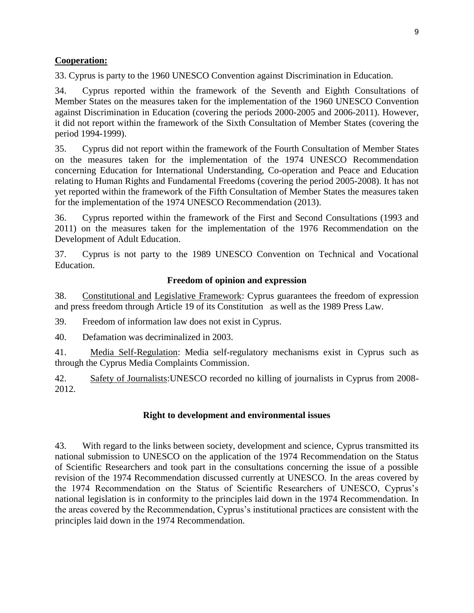## **Cooperation:**

33. Cyprus is party to the 1960 UNESCO Convention against Discrimination in Education.

34. Cyprus reported within the framework of the Seventh and Eighth Consultations of Member States on the measures taken for the implementation of the 1960 UNESCO Convention against Discrimination in Education (covering the periods 2000-2005 and 2006-2011). However, it did not report within the framework of the Sixth Consultation of Member States (covering the period 1994-1999).

35. Cyprus did not report within the framework of the Fourth Consultation of Member States on the measures taken for the implementation of the 1974 UNESCO Recommendation concerning Education for International Understanding, Co-operation and Peace and Education relating to Human Rights and Fundamental Freedoms (covering the period 2005-2008). It has not yet reported within the framework of the Fifth Consultation of Member States the measures taken for the implementation of the 1974 UNESCO Recommendation (2013).

36. Cyprus reported within the framework of the First and Second Consultations (1993 and 2011) on the measures taken for the implementation of the 1976 Recommendation on the Development of Adult Education.

37. Cyprus is not party to the 1989 UNESCO Convention on Technical and Vocational Education.

### **Freedom of opinion and expression**

38. Constitutional and Legislative Framework: Cyprus guarantees the freedom of expression and press freedom through Article 19 of its Constitution as well as the 1989 Press Law.

39. Freedom of information law does not exist in Cyprus.

40. Defamation was decriminalized in 2003.

41. Media Self-Regulation: Media self-regulatory mechanisms exist in Cyprus such as through the Cyprus Media Complaints Commission.

42. Safety of Journalists:UNESCO recorded no killing of journalists in Cyprus from 2008- 2012.

### **Right to development and environmental issues**

43. With regard to the links between society, development and science, Cyprus transmitted its national submission to UNESCO on the application of the 1974 Recommendation on the Status of Scientific Researchers and took part in the consultations concerning the issue of a possible revision of the 1974 Recommendation discussed currently at UNESCO. In the areas covered by the 1974 Recommendation on the Status of Scientific Researchers of UNESCO, Cyprus's national legislation is in conformity to the principles laid down in the 1974 Recommendation. In the areas covered by the Recommendation, Cyprus's institutional practices are consistent with the principles laid down in the 1974 Recommendation.